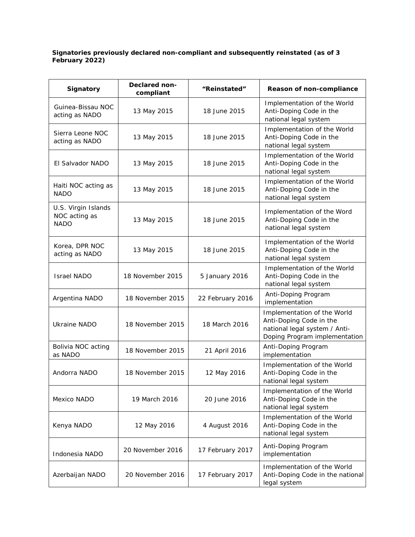## **Signatories previously declared non-compliant and subsequently reinstated (as of 3 February 2022)**

| <b>Signatory</b>                                    | Declared non-<br>compliant | "Reinstated"     | Reason of non-compliance                                                                                                 |
|-----------------------------------------------------|----------------------------|------------------|--------------------------------------------------------------------------------------------------------------------------|
| Guinea-Bissau NOC<br>acting as NADO                 | 13 May 2015                | 18 June 2015     | Implementation of the World<br>Anti-Doping Code in the<br>national legal system                                          |
| Sierra Leone NOC<br>acting as NADO                  | 13 May 2015                | 18 June 2015     | Implementation of the World<br>Anti-Doping Code in the<br>national legal system                                          |
| El Salvador NADO                                    | 13 May 2015                | 18 June 2015     | Implementation of the World<br>Anti-Doping Code in the<br>national legal system                                          |
| Haiti NOC acting as<br><b>NADO</b>                  | 13 May 2015                | 18 June 2015     | Implementation of the World<br>Anti-Doping Code in the<br>national legal system                                          |
| U.S. Virgin Islands<br>NOC acting as<br><b>NADO</b> | 13 May 2015                | 18 June 2015     | Implementation of the Word<br>Anti-Doping Code in the<br>national legal system                                           |
| Korea, DPR NOC<br>acting as NADO                    | 13 May 2015                | 18 June 2015     | Implementation of the World<br>Anti-Doping Code in the<br>national legal system                                          |
| <b>Israel NADO</b>                                  | 18 November 2015           | 5 January 2016   | Implementation of the World<br>Anti-Doping Code in the<br>national legal system                                          |
| Argentina NADO                                      | 18 November 2015           | 22 February 2016 | Anti-Doping Program<br>implementation                                                                                    |
| <b>Ukraine NADO</b>                                 | 18 November 2015           | 18 March 2016    | Implementation of the World<br>Anti-Doping Code in the<br>national legal system / Anti-<br>Doping Program implementation |
| Bolivia NOC acting<br>as NADO                       | 18 November 2015           | 21 April 2016    | Anti-Doping Program<br>implementation                                                                                    |
| Andorra NADO                                        | 18 November 2015           | 12 May 2016      | Implementation of the World<br>Anti-Doping Code in the<br>national legal system                                          |
| Mexico NADO                                         | 19 March 2016              | 20 June 2016     | Implementation of the World<br>Anti-Doping Code in the<br>national legal system                                          |
| Kenya NADO                                          | 12 May 2016                | 4 August 2016    | Implementation of the World<br>Anti-Doping Code in the<br>national legal system                                          |
| Indonesia NADO                                      | 20 November 2016           | 17 February 2017 | Anti-Doping Program<br>implementation                                                                                    |
| Azerbaijan NADO                                     | 20 November 2016           | 17 February 2017 | Implementation of the World<br>Anti-Doping Code in the national<br>legal system                                          |